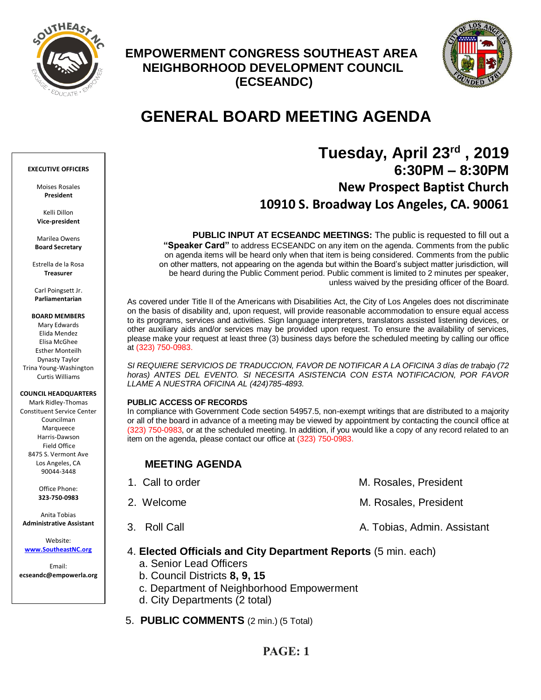

# **EMPOWERMENT CONGRESS SOUTHEAST AREA NEIGHBORHOOD DEVELOPMENT COUNCIL (ECSEANDC)**



# **GENERAL BOARD MEETING AGENDA**

# **Tuesday, April 23rd , 2019 6:30PM – 8:30PM New Prospect Baptist Church 10910 S. Broadway Los Angeles, CA. 90061**

**PUBLIC INPUT AT ECSEANDC MEETINGS:** The public is requested to fill out a **"Speaker Card"** to address ECSEANDC on any item on the agenda. Comments from the public on agenda items will be heard only when that item is being considered. Comments from the public on other matters, not appearing on the agenda but within the Board's subject matter jurisdiction, will be heard during the Public Comment period. Public comment is limited to 2 minutes per speaker, unless waived by the presiding officer of the Board.

As covered under Title II of the Americans with Disabilities Act, the City of Los Angeles does not discriminate on the basis of disability and, upon request, will provide reasonable accommodation to ensure equal access to its programs, services and activities. Sign language interpreters, translators assisted listening devices, or other auxiliary aids and/or services may be provided upon request. To ensure the availability of services, please make your request at least three (3) business days before the scheduled meeting by calling our office at (323) 750-0983.

*SI REQUIERE SERVICIOS DE TRADUCCION, FAVOR DE NOTIFICAR A LA OFICINA 3 días de trabajo (72*  horas) ANTES DEL EVENTO. SI NECESITA ASISTENCIA CON ESTA NOTIFICACION, POR FAVOR *LLAME A NUESTRA OFICINA AL (424)785-4893.*

### **PUBLIC ACCESS OF RECORDS**

In compliance with Government Code section 54957.5, non-exempt writings that are distributed to a majority or all of the board in advance of a meeting may be viewed by appointment by contacting the council office at (323) 750-0983, or at the scheduled meeting. In addition, if you would like a copy of any record related to an item on the agenda, please contact our office at (323) 750-0983.

## **MEETING AGENDA**

| 1. Call to order | M. Rosales, President       |
|------------------|-----------------------------|
| 2. Welcome       | M. Rosales, President       |
| 3. Roll Call     | A. Tobias, Admin. Assistant |

### 4. **Elected Officials and City Department Reports** (5 min. each)

- a. Senior Lead Officers
- b. Council Districts **8, 9, 15**
- c. Department of Neighborhood Empowerment
- d. City Departments (2 total)
- 5. **PUBLIC COMMENTS** (2 min.) (5 Total)

## **PAGE: 1**

### **EXECUTIVE OFFICERS**

Moises Rosales **President**

Kelli Dillon **Vice-president**

Marilea Owens **Board Secretary**

Estrella de la Rosa **Treasurer**

Carl Poingsett Jr. **Parliamentarian**

**BOARD MEMBERS**

Mary Edwards Elida Mendez Elisa McGhee Esther Monteilh Dynasty Taylor Trina Young-Washington Curtis Williams

### **COUNCIL HEADQUARTERS**

Mark Ridley-Thomas Constituent Service Center Councilman Marqueece Harris-Dawson Field Office 8475 S. Vermont Ave Los Angeles, CA 90044-3448

> Office Phone: **323-750-0983**

Anita Tobias **Administrative Assistant**

Website: **[www.SoutheastNC.org](http://www.ecseandc.org/)**

Email: **ecseandc@empowerla.org**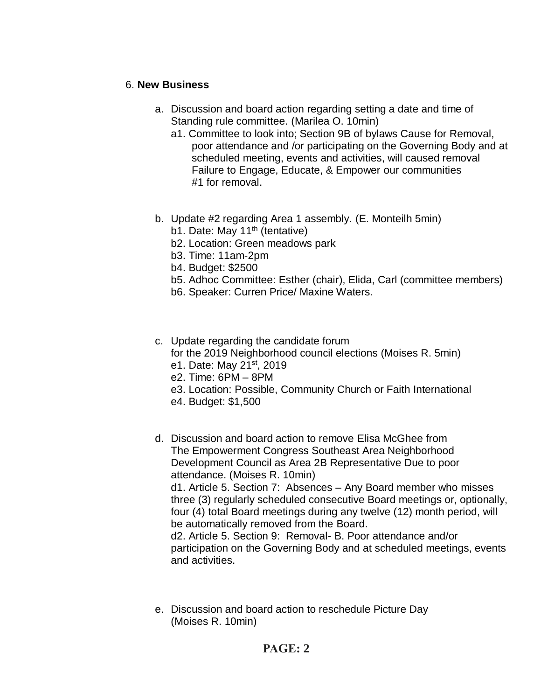## 6. **New Business**

- a. Discussion and board action regarding setting a date and time of Standing rule committee. (Marilea O. 10min)
	- a1. Committee to look into; Section 9B of bylaws Cause for Removal, poor attendance and /or participating on the Governing Body and at scheduled meeting, events and activities, will caused removal Failure to Engage, Educate, & Empower our communities #1 for removal.
- b. Update #2 regarding Area 1 assembly. (E. Monteilh 5min) b1. Date: May  $11<sup>th</sup>$  (tentative)
	- b2. Location: Green meadows park
	- b3. Time: 11am-2pm
	- b4. Budget: \$2500
	- b5. Adhoc Committee: Esther (chair), Elida, Carl (committee members)
	- b6. Speaker: Curren Price/ Maxine Waters.

### c. Update regarding the candidate forum for the 2019 Neighborhood council elections (Moises R. 5min) e1. Date: May 21st, 2019

- e2. Time: 6PM 8PM
- e3. Location: Possible, Community Church or Faith International
- e4. Budget: \$1,500
- d. Discussion and board action to remove Elisa McGhee from The Empowerment Congress Southeast Area Neighborhood Development Council as Area 2B Representative Due to poor attendance. (Moises R. 10min)

d1. Article 5. Section 7: Absences – Any Board member who misses three (3) regularly scheduled consecutive Board meetings or, optionally, four (4) total Board meetings during any twelve (12) month period, will be automatically removed from the Board.

d2. Article 5. Section 9: Removal- B. Poor attendance and/or participation on the Governing Body and at scheduled meetings, events and activities.

e. Discussion and board action to reschedule Picture Day (Moises R. 10min)

# **PAGE: 2**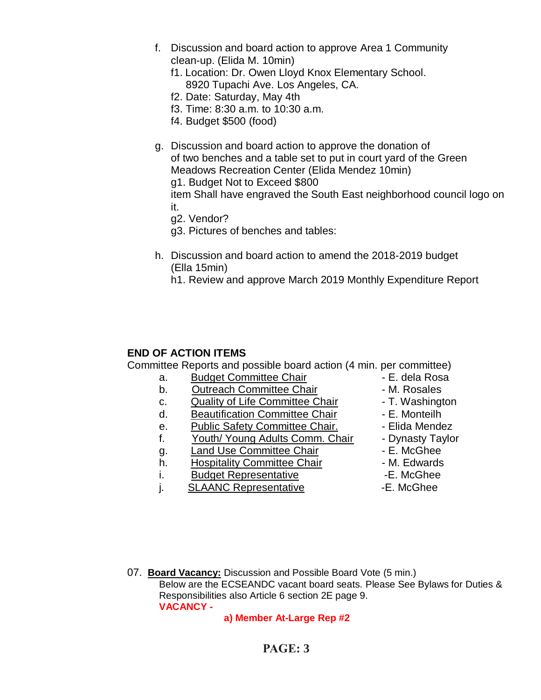- f. Discussion and board action to approve Area 1 Community clean-up. (Elida M. 10min)
	- f1. Location: Dr. Owen Lloyd Knox Elementary School. 8920 Tupachi Ave. Los Angeles, CA.
	- f2. Date: Saturday, May 4th
	- f3. Time: 8:30 a.m. to 10:30 a.m.
	- f4. Budget \$500 (food)
- g. Discussion and board action to approve the donation of of two benches and a table set to put in court yard of the Green Meadows Recreation Center (Elida Mendez 10min) g1. Budget Not to Exceed \$800 item Shall have engraved the South East neighborhood council logo on
	- it. g2. Vendor?

g3. Pictures of benches and tables:

- h. Discussion and board action to amend the 2018-2019 budget (Ella 15min)
	- h1. Review and approve March 2019 Monthly Expenditure Report

### **END OF ACTION ITEMS**

Committee Reports and possible board action (4 min. per committee)

- a. Budget Committee Chair **1988** E. dela Rosa
- b. Outreach Committee Chair **Daniel Access** M. Rosales
- c. Quality of Life Committee Chair T. Washington
- d. Beautification Committee Chair Fame E. Monteilh
- e. Public Safety Committee Chair. - Elida Mendez
- f. Youth/ Young Adults Comm. Chair Dynasty Taylor
- g. Land Use Committee Chair **E. McGhee**
- h. Hospitality Committee Chair  **M. Edwards**
- i. Budget Representative **E.** McGhee
- j. SLAANC Representative E. McGhee
- 
- 
- 
- 
- 
- 
- 
- 
- 
- 

07. **Board Vacancy:** Discussion and Possible Board Vote (5 min.) Below are the ECSEANDC vacant board seats. Please See Bylaws for Duties & Responsibilities also Article 6 section 2E page 9. **VACANCY -**

 **a) Member At-Large Rep #2**

# **PAGE: 3**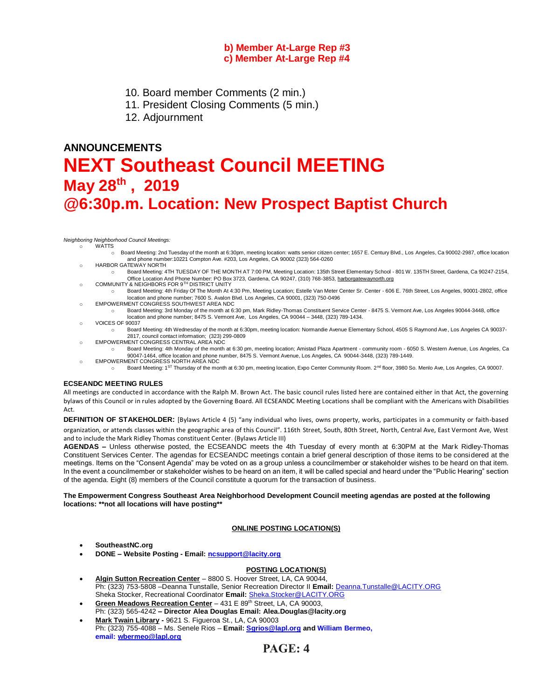### **b) Member At-Large Rep #3 c) Member At-Large Rep #4**

- 10. Board member Comments (2 min.)
- 11. President Closing Comments (5 min.)
- 12. Adjournment

# **ANNOUNCEMENTS NEXT Southeast Council MEETING May 28th , 2019 @6:30p.m. Location: New Prospect Baptist Church**

*Neighboring Neighborhood Council Meetings:* o WATTS

- o Board Meeting: 2nd Tuesday of the month at 6:30pm, meeting location: watts senior citizen center; 1657 E. Century Blvd., Los Angeles, Ca 90002-2987, office location and phone number:10221 Compton Ave. #203, Los Angeles, CA 90002 (323) 564-0260
- o HARBOR GATEWAY NORTH
- o Board Meeting: 4TH TUESDAY OF THE MONTH AT 7:00 PM, Meeting Location: 135th Street Elementary School 801 W. 135TH Street, Gardena, Ca 90247-2154, Office Location And Phone Number: PO Box 3723, Gardena, CA 90247, (310) 768-3853[, harborgatewaynorth.org](http://www.lacity.org/disclaim/disclaim.cfm?goto=http://HARBORGATEWAYNORTH.ORG%20%20%20%20%20%20%20%20%20%20%20%20%20%20%20%20%20%20%20%20%20%20%20%20%20%20%20%20%20/%20_blank)
- o COMMUNITY & NEIGHBORS FOR 9TH DISTRICT UNITY
- o Board Meeting: 4th Friday Of The Month At 4:30 Pm, Meeting Location; Estelle Van Meter Center Sr. Center 606 E. 76th Street, Los Angeles, 90001-2802, office location and phone number; 7600 S. Avalon Blvd. Los Angeles, CA 90001, (323) 750-0496
- o EMPOWERMENT CONGRESS SOUTHWEST AREA NDC
	- o Board Meeting: 3rd Monday of the month at 6:30 pm, Mark Ridley-Thomas Constituent Service Center 8475 S. Vermont Ave, Los Angeles 90044-3448, office location and phone number; 8475 S. Vermont Ave, Los Angeles, CA 90044 – 3448, (323) 789-1434.
- o VOICES OF 90037
	- o Board Meeting: 4th Wednesday of the month at 6:30pm, meeting location: Normandie Avenue Elementary School, 4505 S Raymond Ave, Los Angeles CA 90037- 2817, council contact information; (323) 299-0809
- o EMPOWERMENT CONGRESS CENTRAL AREA NDC
	- o Board Meeting: 4th Monday of the month at 6:30 pm, meeting location; Amistad Plaza Apartment community room 6050 S. Western Avenue, Los Angeles, Ca 90047-1464, office location and phone number, 8475 S. Vermont Avenue, Los Angeles, CA 90044-3448, (323) 789-1449. EMPOWERMENT CONGRESS NORTH AREA NDC
		- Board Meeting: 1<sup>ST</sup> Thursday of the month at 6:30 pm, meeting location, Expo Center Community Room. 2<sup>nd</sup> floor, 3980 So. Menlo Ave, Los Angeles, CA 90007.

### **ECSEANDC MEETING RULES**

All meetings are conducted in accordance with the Ralph M. Brown Act. The basic council rules listed here are contained either in that Act, the governing bylaws of this Council or in rules adopted by the Governing Board. All ECSEANDC Meeting Locations shall be compliant with the Americans with Disabilities Act.

**DEFINITION OF STAKEHOLDER:** [Bylaws Article 4 (5) "any individual who lives, owns property, works, participates in a community or faith-based organization, or attends classes within the geographic area of this Council". 116th Street, South, 80th Street, North, Central Ave, East Vermont Ave, West and to include the Mark Ridley Thomas constituent Center. (Bylaws Article III)

**AGENDAS –** Unless otherwise posted, the ECSEANDC meets the 4th Tuesday of every month at 6:30PM at the Mark Ridley-Thomas Constituent Services Center. The agendas for ECSEANDC meetings contain a brief general description of those items to be considered at the meetings. Items on the "Consent Agenda" may be voted on as a group unless a councilmember or stakeholder wishes to be heard on that item. In the event a councilmember or stakeholder wishes to be heard on an item, it will be called special and heard under the "Public Hearing" section of the agenda. Eight (8) members of the Council constitute a quorum for the transaction of business.

**The Empowerment Congress Southeast Area Neighborhood Development Council meeting agendas are posted at the following locations: \*\*not all locations will have posting\*\***

### **ONLINE POSTING LOCATION(S)**

- **SoutheastNC.org**
- **DONE – Website Posting - Email[: ncsupport@lacity.org](mailto:ncsupport@lacity.org)**

### **POSTING LOCATION(S)**

- **Algin Sutton Recreation Center** 8800 S. Hoover Street, LA, CA 90044, Ph: (323) 753-5808 –Deanna Tunstalle, Senior Recreation Director II **Email:** [Deanna.Tunstalle@LACITY.ORG](mailto:Deanna.Tunstalle@LACITY.ORG) Sheka Stocker, Recreational Coordinator **Email:** [Sheka.Stocker@LACITY.ORG](mailto:Sheka.Stocker@LACITY.ORG)
- Green Meadows Recreation Center 431 E 89<sup>th</sup> Street, LA, CA 90003, Ph: (323) 565-4242 **– Director Alea Douglas Email: Alea.Douglas@lacity.org**
- **Mark Twain Library -** 9621 S. Figueroa St., LA, CA 90003 Ph: (323) 755-4088 – Ms. Senele Rios – **Email: [Sgrios@lapl.org](mailto:Sgrios@lapl.org) and William Bermeo, email: [wbermeo@lapl.org](javascript:void(0);)**